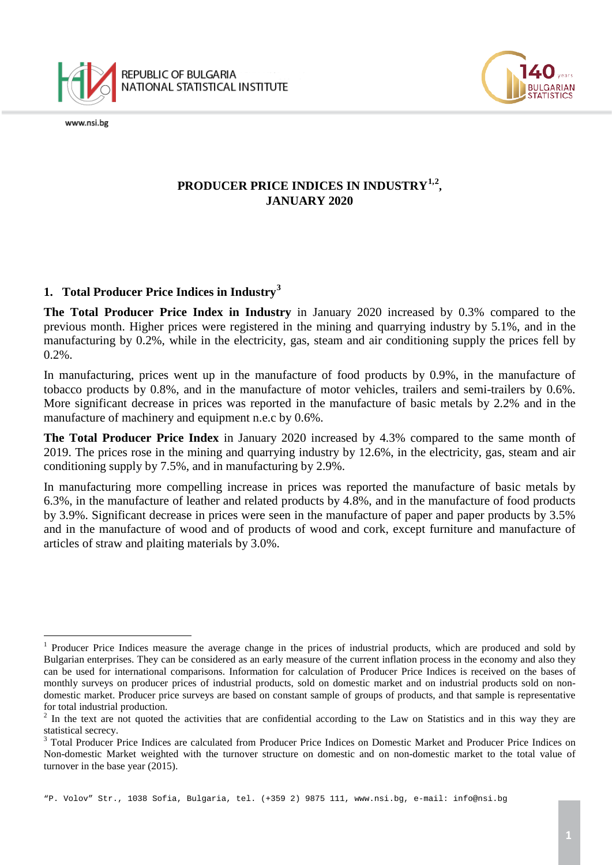



# **PRODUCER PRICE INDICES IN INDUSTRY[1,](#page-0-0)[2](#page-0-1) , JANUARY 2020**

## **1. Total Producer Price Indices in Industry[3](#page-0-2)**

**The Total Producer Price Index in Industry** in January 2020 increased by 0.3% compared to the previous month. Higher prices were registered in the mining and quarrying industry by 5.1%, and in the manufacturing by 0.2%, while in the electricity, gas, steam and air conditioning supply the prices fell by 0.2%.

In manufacturing, prices went up in the manufacture of food products by 0.9%, in the manufacture of tobacco products by 0.8%, and in the manufacture of motor vehicles, trailers and semi-trailers by 0.6%. More significant decrease in prices was reported in the manufacture of basic metals by 2.2% and in the manufacture of machinery and equipment n.e.c by 0.6%.

**The Total Producer Price Index** in January 2020 increased by 4.3% compared to the same month of 2019. The prices rose in the mining and quarrying industry by 12.6%, in the electricity, gas, steam and air conditioning supply by 7.5%, and in manufacturing by 2.9%.

In manufacturing more compelling increase in prices was reported the manufacture of basic metals by 6.3%, in the manufacture of leather and related products by 4.8%, and in the manufacture of food products by 3.9%. Significant decrease in prices were seen in the manufacture of paper and paper products by 3.5% and in the manufacture of wood and of products of wood and cork, except furniture and manufacture of articles of straw and plaiting materials by 3.0%.

<span id="page-0-0"></span><sup>&</sup>lt;sup>1</sup> Producer Price Indices measure the average change in the prices of industrial products, which are produced and sold by Bulgarian enterprises. They can be considered as an early measure of the current inflation process in the economy and also they can be used for international comparisons. Information for calculation of Producer Price Indices is received on the bases of monthly surveys on producer prices of industrial products, sold on domestic market and on industrial products sold on nondomestic market. Producer price surveys are based on constant sample of groups of products, and that sample is representative for total industrial production.  $\frac{1}{1}$ 

<span id="page-0-1"></span><sup>&</sup>lt;sup>2</sup> In the text are not quoted the activities that are confidential according to the Law on Statistics and in this way they are statistical secrecy.<br><sup>3</sup> Total Producer Price Indices are calculated from Producer Price Indices on Domestic Market and Producer Price Indices on

<span id="page-0-2"></span>Non-domestic Market weighted with the turnover structure on domestic and on non-domestic market to the total value of turnover in the base year (2015).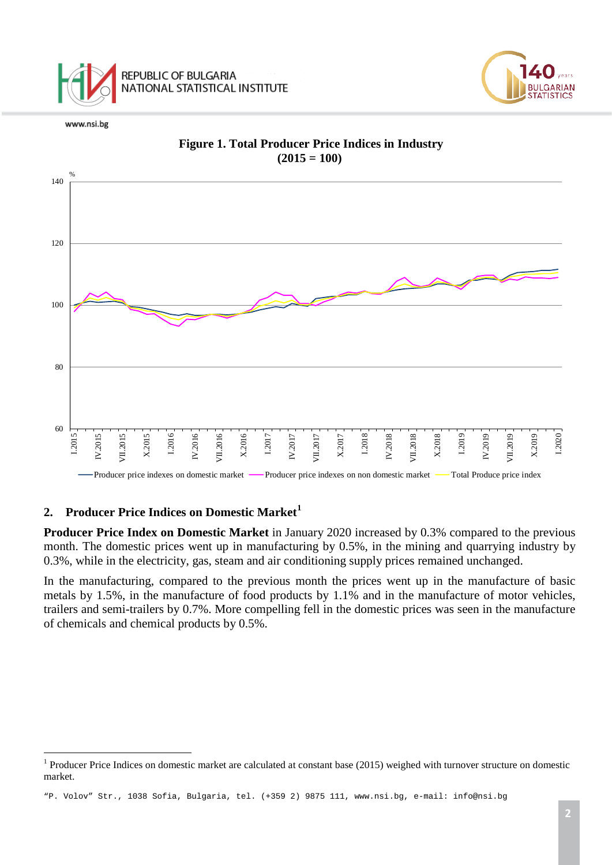







### **Figure 1. Total Producer Price Indices in Industry**  $(2015 = 100)$

### **2. Producer Price Indices on Domestic Market[1](#page-1-0)**

**Producer Price Index on Domestic Market** in January 2020 increased by 0.3% compared to the previous month. The domestic prices went up in manufacturing by 0.5%, in the mining and quarrying industry by 0.3%, while in the electricity, gas, steam and air conditioning supply prices remained unchanged.

In the manufacturing, compared to the previous month the prices went up in the manufacture of basic metals by 1.5%, in the manufacture of food products by 1.1% and in the manufacture of motor vehicles, trailers and semi-trailers by 0.7%. More compelling fell in the domestic prices was seen in the manufacture of chemicals and chemical products by 0.5%.

<span id="page-1-0"></span> $1$  Producer Price Indices on domestic market are calculated at constant base (2015) weighed with turnover structure on domestic market. $\overline{a}$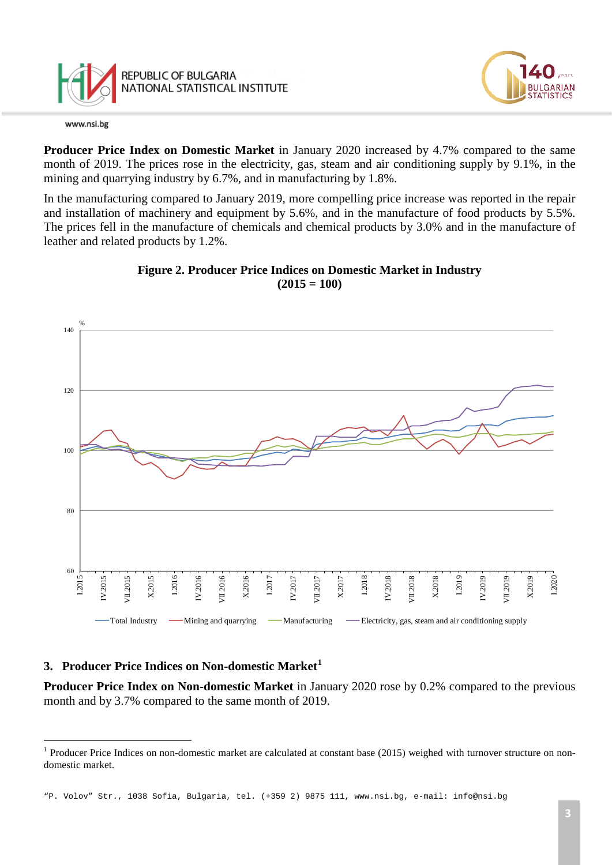

**Producer Price Index on Domestic Market** in January 2020 increased by 4.7% compared to the same month of 2019. The prices rose in the electricity, gas, steam and air conditioning supply by 9.1%, in the mining and quarrying industry by 6.7%, and in manufacturing by 1.8%.

In the manufacturing compared to January 2019, more compelling price increase was reported in the repair and installation of machinery and equipment by 5.6%, and in the manufacture of food products by 5.5%. The prices fell in the manufacture of chemicals and chemical products by 3.0% and in the manufacture of leather and related products by 1.2%.





# **3. Producer Price Indices on Non-domestic Market[1](#page-2-0)**

**Producer Price Index on Non-domestic Market** in January 2020 rose by 0.2% compared to the previous month and by 3.7% compared to the same month of 2019.

GARIAN

<span id="page-2-0"></span> $1$  Producer Price Indices on non-domestic market are calculated at constant base (2015) weighed with turnover structure on nondomestic market.  $\frac{1}{1}$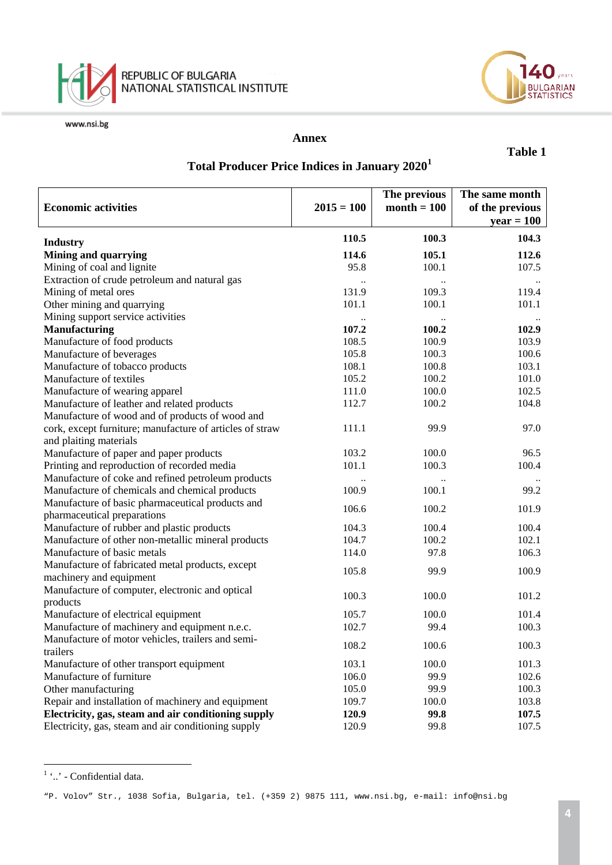



#### **Annex**

#### **Table 1**

# **Total Producer Price Indices in January 2020[1](#page-3-0)**

| <b>Economic activities</b>                               | $2015 = 100$ | The previous<br>$month = 100$ | The same month<br>of the previous |
|----------------------------------------------------------|--------------|-------------------------------|-----------------------------------|
|                                                          |              |                               | $year = 100$                      |
| <b>Industry</b>                                          | 110.5        | 100.3                         | 104.3                             |
| <b>Mining and quarrying</b>                              | 114.6        | 105.1                         | 112.6                             |
| Mining of coal and lignite                               | 95.8         | 100.1                         | 107.5                             |
| Extraction of crude petroleum and natural gas            |              |                               |                                   |
| Mining of metal ores                                     | 131.9        | 109.3                         | 119.4                             |
| Other mining and quarrying                               | 101.1        | 100.1                         | 101.1                             |
| Mining support service activities                        |              |                               |                                   |
| <b>Manufacturing</b>                                     | 107.2        | 100.2                         | 102.9                             |
| Manufacture of food products                             | 108.5        | 100.9                         | 103.9                             |
| Manufacture of beverages                                 | 105.8        | 100.3                         | 100.6                             |
| Manufacture of tobacco products                          | 108.1        | 100.8                         | 103.1                             |
| Manufacture of textiles                                  | 105.2        | 100.2                         | 101.0                             |
| Manufacture of wearing apparel                           | 111.0        | 100.0                         | 102.5                             |
| Manufacture of leather and related products              | 112.7        | 100.2                         | 104.8                             |
| Manufacture of wood and of products of wood and          |              |                               |                                   |
| cork, except furniture; manufacture of articles of straw | 111.1        | 99.9                          | 97.0                              |
| and plaiting materials                                   |              |                               |                                   |
| Manufacture of paper and paper products                  | 103.2        | 100.0                         | 96.5                              |
| Printing and reproduction of recorded media              | 101.1        | 100.3                         | 100.4                             |
| Manufacture of coke and refined petroleum products       |              |                               |                                   |
| Manufacture of chemicals and chemical products           | 100.9        | 100.1                         | 99.2                              |
| Manufacture of basic pharmaceutical products and         |              |                               |                                   |
| pharmaceutical preparations                              | 106.6        | 100.2                         | 101.9                             |
| Manufacture of rubber and plastic products               | 104.3        | 100.4                         | 100.4                             |
| Manufacture of other non-metallic mineral products       | 104.7        | 100.2                         | 102.1                             |
| Manufacture of basic metals                              | 114.0        | 97.8                          | 106.3                             |
| Manufacture of fabricated metal products, except         |              |                               |                                   |
| machinery and equipment                                  | 105.8        | 99.9                          | 100.9                             |
| Manufacture of computer, electronic and optical          |              |                               |                                   |
| products                                                 | 100.3        | 100.0                         | 101.2                             |
| Manufacture of electrical equipment                      | 105.7        | 100.0                         | 101.4                             |
| Manufacture of machinery and equipment n.e.c.            | 102.7        | 99.4                          | 100.3                             |
| Manufacture of motor vehicles, trailers and semi-        |              |                               |                                   |
| trailers                                                 | 108.2        | 100.6                         | 100.3                             |
| Manufacture of other transport equipment                 | 103.1        | 100.0                         | 101.3                             |
| Manufacture of furniture                                 | 106.0        | 99.9                          | 102.6                             |
| Other manufacturing                                      | 105.0        | 99.9                          | 100.3                             |
| Repair and installation of machinery and equipment       | 109.7        | 100.0                         | 103.8                             |
| Electricity, gas, steam and air conditioning supply      | 120.9        | 99.8                          | 107.5                             |
| Electricity, gas, steam and air conditioning supply      | 120.9        | 99.8                          | 107.5                             |

<span id="page-3-0"></span> $1$   $\ldots$  - Confidential data.  $\frac{1}{1}$ 

"P. Volov" Str., 1038 Sofia, Bulgaria, tel. (+359 2) 9875 111, [www.nsi.bg,](http://www.nsi.bg/) e-mail: info@nsi.bg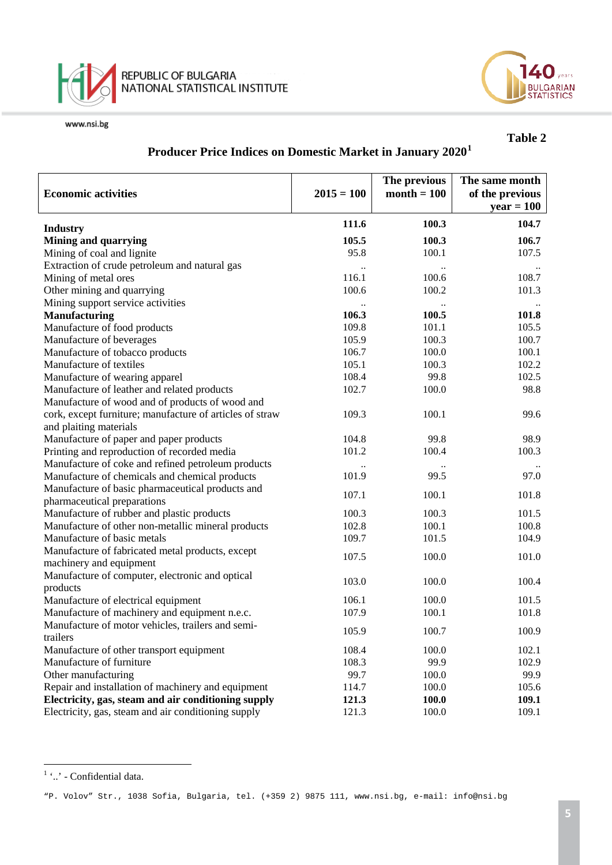



# **Table 2**

# **Producer Price Indices on Domestic Market in January 2020[1](#page-4-0)**

| <b>Economic activities</b>                                                                        | $2015 = 100$ | The previous<br>$month = 100$ | The same month<br>of the previous<br>$year = 100$ |
|---------------------------------------------------------------------------------------------------|--------------|-------------------------------|---------------------------------------------------|
| <b>Industry</b>                                                                                   | 111.6        | 100.3                         | 104.7                                             |
| <b>Mining and quarrying</b>                                                                       | 105.5        | 100.3                         | 106.7                                             |
| Mining of coal and lignite                                                                        | 95.8         | 100.1                         | 107.5                                             |
| Extraction of crude petroleum and natural gas                                                     |              |                               |                                                   |
| Mining of metal ores                                                                              | 116.1        | 100.6                         | 108.7                                             |
| Other mining and quarrying                                                                        | 100.6        | 100.2                         | 101.3                                             |
| Mining support service activities                                                                 |              |                               |                                                   |
| <b>Manufacturing</b>                                                                              | 106.3        | 100.5                         | 101.8                                             |
| Manufacture of food products                                                                      | 109.8        | 101.1                         | 105.5                                             |
| Manufacture of beverages                                                                          | 105.9        | 100.3                         | 100.7                                             |
| Manufacture of tobacco products                                                                   | 106.7        | 100.0                         | 100.1                                             |
| Manufacture of textiles                                                                           | 105.1        | 100.3                         | 102.2                                             |
| Manufacture of wearing apparel                                                                    | 108.4        | 99.8                          | 102.5                                             |
| Manufacture of leather and related products                                                       | 102.7        | 100.0                         | 98.8                                              |
| Manufacture of wood and of products of wood and                                                   |              |                               |                                                   |
| cork, except furniture; manufacture of articles of straw                                          | 109.3        | 100.1                         | 99.6                                              |
| and plaiting materials                                                                            |              |                               |                                                   |
|                                                                                                   | 104.8        | 99.8                          | 98.9                                              |
| Manufacture of paper and paper products                                                           | 101.2        | 100.4                         | 100.3                                             |
| Printing and reproduction of recorded media<br>Manufacture of coke and refined petroleum products |              |                               |                                                   |
|                                                                                                   | 101.9        | 99.5                          | 97.0                                              |
| Manufacture of chemicals and chemical products                                                    |              |                               |                                                   |
| Manufacture of basic pharmaceutical products and                                                  | 107.1        | 100.1                         | 101.8                                             |
| pharmaceutical preparations                                                                       | 100.3        | 100.3                         | 101.5                                             |
| Manufacture of rubber and plastic products                                                        |              |                               |                                                   |
| Manufacture of other non-metallic mineral products                                                | 102.8        | 100.1                         | 100.8                                             |
| Manufacture of basic metals                                                                       | 109.7        | 101.5                         | 104.9                                             |
| Manufacture of fabricated metal products, except                                                  | 107.5        | 100.0                         | 101.0                                             |
| machinery and equipment                                                                           |              |                               |                                                   |
| Manufacture of computer, electronic and optical                                                   | 103.0        | 100.0                         | 100.4                                             |
| products                                                                                          |              |                               |                                                   |
| Manufacture of electrical equipment                                                               | 106.1        | 100.0                         | 101.5                                             |
| Manufacture of machinery and equipment n.e.c.                                                     | 107.9        | 100.1                         | 101.8                                             |
| Manufacture of motor vehicles, trailers and semi-                                                 | 105.9        | 100.7                         | 100.9                                             |
| trailers                                                                                          |              |                               |                                                   |
| Manufacture of other transport equipment                                                          | 108.4        | 100.0                         | 102.1                                             |
| Manufacture of furniture                                                                          | 108.3        | 99.9                          | 102.9                                             |
| Other manufacturing                                                                               | 99.7         | 100.0                         | 99.9                                              |
| Repair and installation of machinery and equipment                                                | 114.7        | 100.0                         | 105.6                                             |
| Electricity, gas, steam and air conditioning supply                                               | 121.3        | 100.0                         | 109.1                                             |
| Electricity, gas, steam and air conditioning supply                                               | 121.3        | 100.0                         | 109.1                                             |

<span id="page-4-0"></span> $1$   $\ldots$  - Confidential data.  $\frac{1}{1}$ 

"P. Volov" Str., 1038 Sofia, Bulgaria, tel. (+359 2) 9875 111, [www.nsi.bg,](http://www.nsi.bg/) e-mail: info@nsi.bg